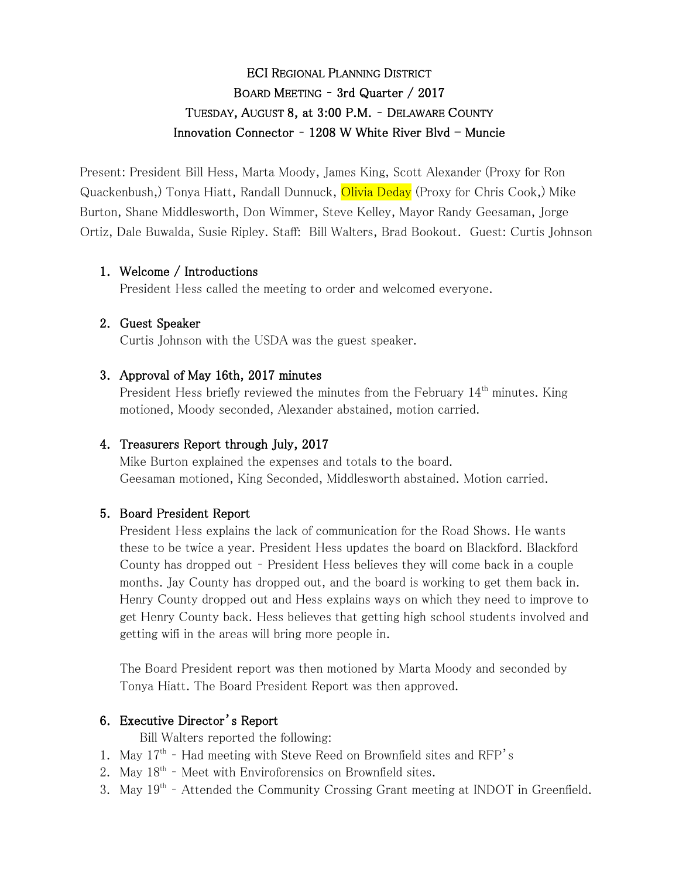# ECI REGIONAL PLANNING DISTRICT BOARD MEETING – 3rd Quarter / 2017 TUESDAY, AUGUST 8, at 3:00 P.M. – DELAWARE COUNTY Innovation Connector -  $1208$  W White River Blvd - Muncie

Present: President Bill Hess, Marta Moody, James King, Scott Alexander (Proxy for Ron Quackenbush,) Tonya Hiatt, Randall Dunnuck, Olivia Deday (Proxy for Chris Cook,) Mike Burton, Shane Middlesworth, Don Wimmer, Steve Kelley, Mayor Randy Geesaman, Jorge Ortiz, Dale Buwalda, Susie Ripley. Staff: Bill Walters, Brad Bookout. Guest: Curtis Johnson

# 1. Welcome / Introductions

President Hess called the meeting to order and welcomed everyone.

#### 2. Guest Speaker

Curtis Johnson with the USDA was the guest speaker.

#### 3. Approval of May 16th, 2017 minutes

President Hess briefly reviewed the minutes from the February 14<sup>th</sup> minutes. King motioned, Moody seconded, Alexander abstained, motion carried.

#### 4. Treasurers Report through July, 2017

Mike Burton explained the expenses and totals to the board. Geesaman motioned, King Seconded, Middlesworth abstained. Motion carried.

#### 5. Board President Report

President Hess explains the lack of communication for the Road Shows. He wants these to be twice a year. President Hess updates the board on Blackford. Blackford County has dropped out – President Hess believes they will come back in a couple months. Jay County has dropped out, and the board is working to get them back in. Henry County dropped out and Hess explains ways on which they need to improve to get Henry County back. Hess believes that getting high school students involved and getting wifi in the areas will bring more people in.

The Board President report was then motioned by Marta Moody and seconded by Tonya Hiatt. The Board President Report was then approved.

# 6. Executive Director's Report

Bill Walters reported the following:

- 1. May 17<sup>th</sup> Had meeting with Steve Reed on Brownfield sites and RFP's
- 2. May  $18<sup>th</sup>$  Meet with Enviroforensics on Brownfield sites.
- 3. May 19<sup>th</sup> Attended the Community Crossing Grant meeting at INDOT in Greenfield.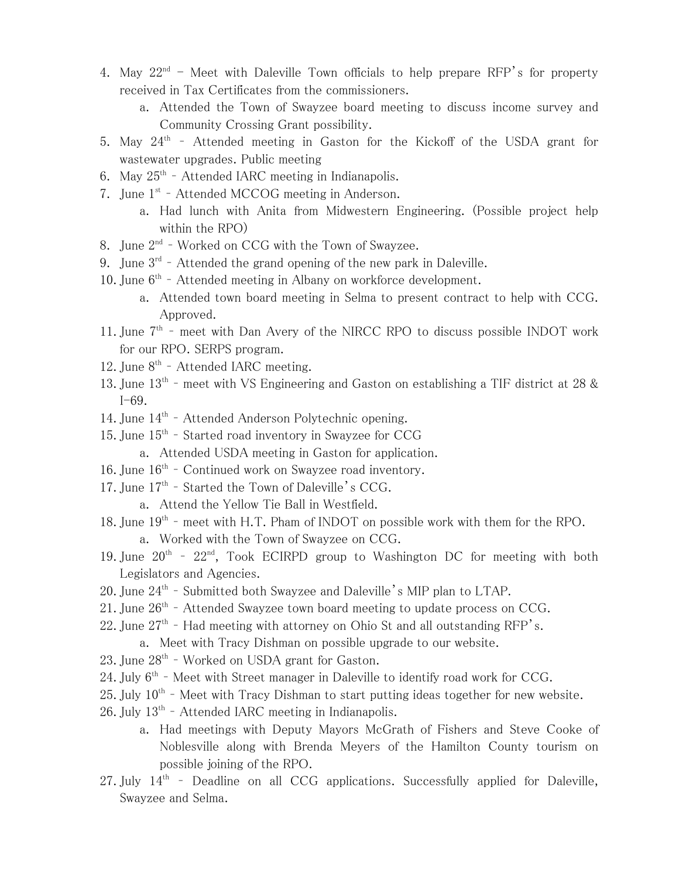- 4. May  $22^{nd}$  Meet with Daleville Town officials to help prepare RFP's for property received in Tax Certificates from the commissioners.
	- a. Attended the Town of Swayzee board meeting to discuss income survey and Community Crossing Grant possibility.
- 5. May  $24<sup>th</sup>$  Attended meeting in Gaston for the Kickoff of the USDA grant for wastewater upgrades. Public meeting
- 6. May  $25^{th}$  Attended IARC meeting in Indianapolis.
- 7. June 1<sup>st</sup> Attended MCCOG meeting in Anderson.
	- a. Had lunch with Anita from Midwestern Engineering. (Possible project help within the RPO)
- 8. June 2<sup>nd</sup> Worked on CCG with the Town of Swayzee.
- 9. June  $3^{rd}$  Attended the grand opening of the new park in Daleville.
- 10. June  $6<sup>th</sup>$  Attended meeting in Albany on workforce development.
	- a. Attended town board meeting in Selma to present contract to help with CCG. Approved.
- 11. June  $7<sup>th</sup>$  meet with Dan Avery of the NIRCC RPO to discuss possible INDOT work for our RPO. SERPS program.
- 12. June  $8^{th}$  Attended IARC meeting.
- 13. June  $13<sup>th</sup>$  meet with VS Engineering and Gaston on establishing a TIF district at 28 & I-69.
- 14. June 14<sup>th</sup> Attended Anderson Polytechnic opening.
- 15. June  $15<sup>th</sup>$  Started road inventory in Swayzee for CCG
	- a. Attended USDA meeting in Gaston for application.
- 16. June 16<sup>th</sup> Continued work on Swayzee road inventory.
- 17. June 17<sup>th</sup> Started the Town of Daleville's CCG.
	- a. Attend the Yellow Tie Ball in Westfield.
- 18. June  $19<sup>th</sup>$  meet with H.T. Pham of INDOT on possible work with them for the RPO.
	- a. Worked with the Town of Swayzee on CCG.
- 19. June  $20^{th}$   $22^{nd}$ , Took ECIRPD group to Washington DC for meeting with both Legislators and Agencies.
- 20. June  $24^{\text{th}}$  Submitted both Swayzee and Daleville's MIP plan to LTAP.
- 21. June 26<sup>th</sup> Attended Swayzee town board meeting to update process on CCG.
- 22. June  $27<sup>th</sup>$  Had meeting with attorney on Ohio St and all outstanding RFP's.
	- a. Meet with Tracy Dishman on possible upgrade to our website.
- 23. June 28<sup>th</sup> Worked on USDA grant for Gaston.
- 24. July  $6<sup>th</sup>$  Meet with Street manager in Daleville to identify road work for CCG.
- 25. July  $10^{th}$  Meet with Tracy Dishman to start putting ideas together for new website.
- $26.$  July  $13<sup>th</sup>$  Attended IARC meeting in Indianapolis.
	- a. Had meetings with Deputy Mayors McGrath of Fishers and Steve Cooke of Noblesville along with Brenda Meyers of the Hamilton County tourism on possible joining of the RPO.
- 27. July  $14<sup>th</sup>$  Deadline on all CCG applications. Successfully applied for Daleville, Swayzee and Selma.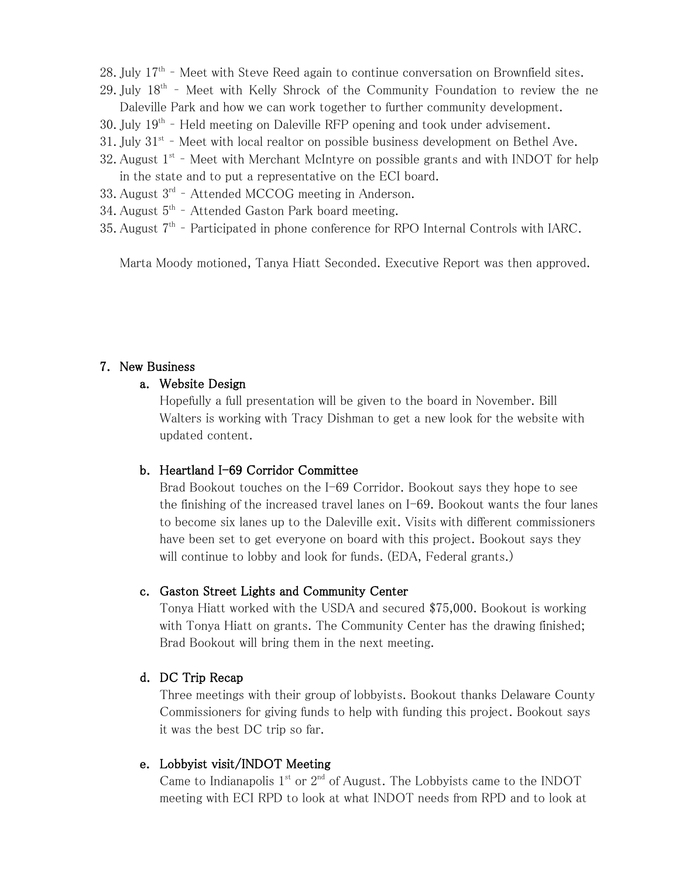- $28.$  July  $17<sup>th</sup>$  Meet with Steve Reed again to continue conversation on Brownfield sites.
- 29. July 18<sup>th</sup> Meet with Kelly Shrock of the Community Foundation to review the ne Daleville Park and how we can work together to further community development.
- 30. July 19<sup>th</sup> Held meeting on Daleville RFP opening and took under advisement.
- 31. July  $31<sup>st</sup>$  Meet with local realtor on possible business development on Bethel Ave.
- 32. August  $1<sup>st</sup>$  Meet with Merchant McIntyre on possible grants and with INDOT for help in the state and to put a representative on the ECI board.
- 33. August 3<sup>rd</sup> Attended MCCOG meeting in Anderson.
- 34. August  $5<sup>th</sup>$  Attended Gaston Park board meeting.
- 35. August  $7<sup>th</sup>$  Participated in phone conference for RPO Internal Controls with IARC.

Marta Moody motioned, Tanya Hiatt Seconded. Executive Report was then approved.

#### 7. New Business

#### a. Website Design

Hopefully a full presentation will be given to the board in November. Bill Walters is working with Tracy Dishman to get a new look for the website with updated content.

#### b. Heartland I-69 Corridor Committee

Brad Bookout touches on the I-69 Corridor. Bookout says they hope to see the finishing of the increased travel lanes on I-69. Bookout wants the four lanes to become six lanes up to the Daleville exit. Visits with different commissioners have been set to get everyone on board with this project. Bookout says they will continue to lobby and look for funds. (EDA, Federal grants.)

#### c. Gaston Street Lights and Community Center

Tonya Hiatt worked with the USDA and secured \$75,000. Bookout is working with Tonya Hiatt on grants. The Community Center has the drawing finished; Brad Bookout will bring them in the next meeting.

#### d. DC Trip Recap

Three meetings with their group of lobbyists. Bookout thanks Delaware County Commissioners for giving funds to help with funding this project. Bookout says it was the best DC trip so far.

#### e. Lobbyist visit/INDOT Meeting

Came to Indianapolis  $1<sup>st</sup>$  or  $2<sup>nd</sup>$  of August. The Lobbyists came to the INDOT meeting with ECI RPD to look at what INDOT needs from RPD and to look at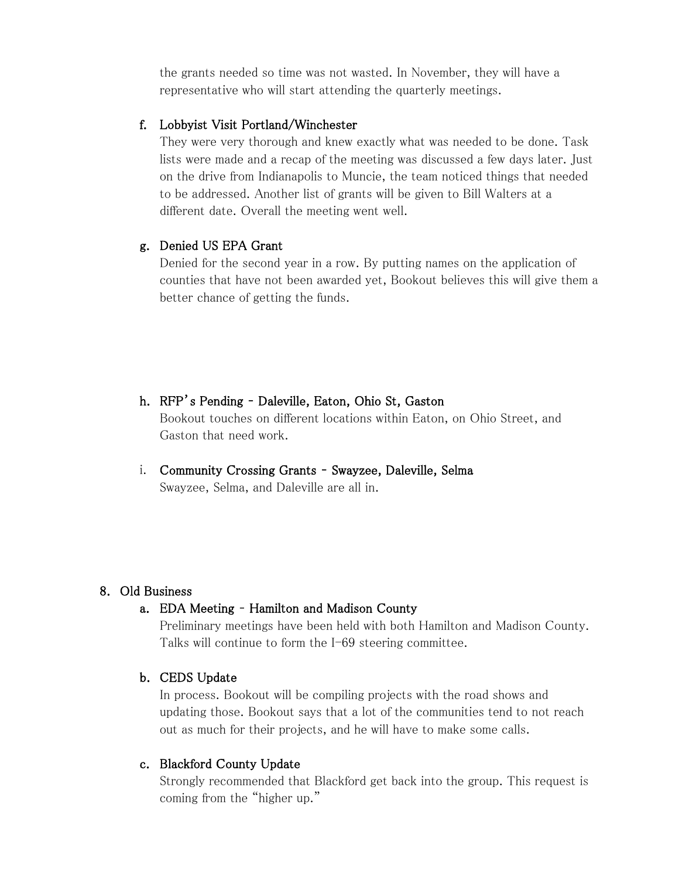the grants needed so time was not wasted. In November, they will have a representative who will start attending the quarterly meetings.

#### f. Lobbyist Visit Portland/Winchester

They were very thorough and knew exactly what was needed to be done. Task lists were made and a recap of the meeting was discussed a few days later. Just on the drive from Indianapolis to Muncie, the team noticed things that needed to be addressed. Another list of grants will be given to Bill Walters at a different date. Overall the meeting went well.

#### g. Denied US EPA Grant

Denied for the second year in a row. By putting names on the application of counties that have not been awarded yet, Bookout believes this will give them a better chance of getting the funds.

- h. RFP's Pending Daleville, Eaton, Ohio St, Gaston Bookout touches on different locations within Eaton, on Ohio Street, and Gaston that need work.
- i. Community Crossing Grants Swayzee, Daleville, Selma Swayzee, Selma, and Daleville are all in.

#### 8. Old Business

# a. EDA Meeting – Hamilton and Madison County

Preliminary meetings have been held with both Hamilton and Madison County. Talks will continue to form the I-69 steering committee.

# b. CEDS Update

In process. Bookout will be compiling projects with the road shows and updating those. Bookout says that a lot of the communities tend to not reach out as much for their projects, and he will have to make some calls.

#### c. Blackford County Update

Strongly recommended that Blackford get back into the group. This request is coming from the "higher up."